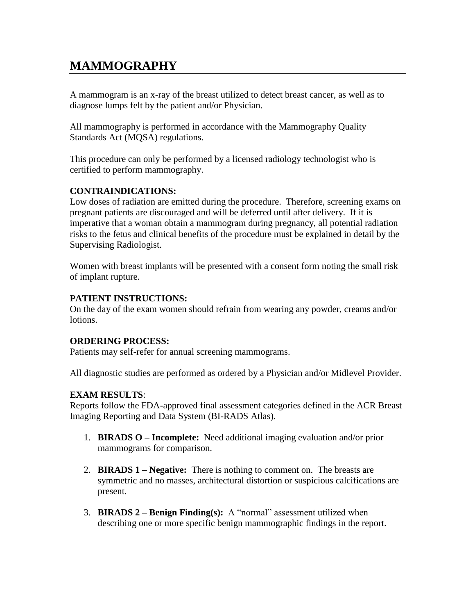# **MAMMOGRAPHY**

A mammogram is an x-ray of the breast utilized to detect breast cancer, as well as to diagnose lumps felt by the patient and/or Physician.

All mammography is performed in accordance with the Mammography Quality Standards Act (MQSA) regulations.

This procedure can only be performed by a licensed radiology technologist who is certified to perform mammography.

## **CONTRAINDICATIONS:**

Low doses of radiation are emitted during the procedure. Therefore, screening exams on pregnant patients are discouraged and will be deferred until after delivery. If it is imperative that a woman obtain a mammogram during pregnancy, all potential radiation risks to the fetus and clinical benefits of the procedure must be explained in detail by the Supervising Radiologist.

Women with breast implants will be presented with a consent form noting the small risk of implant rupture.

## **PATIENT INSTRUCTIONS:**

On the day of the exam women should refrain from wearing any powder, creams and/or lotions.

#### **ORDERING PROCESS:**

Patients may self-refer for annual screening mammograms.

All diagnostic studies are performed as ordered by a Physician and/or Midlevel Provider.

## **EXAM RESULTS**:

Reports follow the FDA-approved final assessment categories defined in the ACR Breast Imaging Reporting and Data System (BI-RADS Atlas).

- 1. **BIRADS O – Incomplete:** Need additional imaging evaluation and/or prior mammograms for comparison.
- 2. **BIRADS 1 – Negative:** There is nothing to comment on. The breasts are symmetric and no masses, architectural distortion or suspicious calcifications are present.
- 3. **BIRADS 2 – Benign Finding(s):** A "normal" assessment utilized when describing one or more specific benign mammographic findings in the report.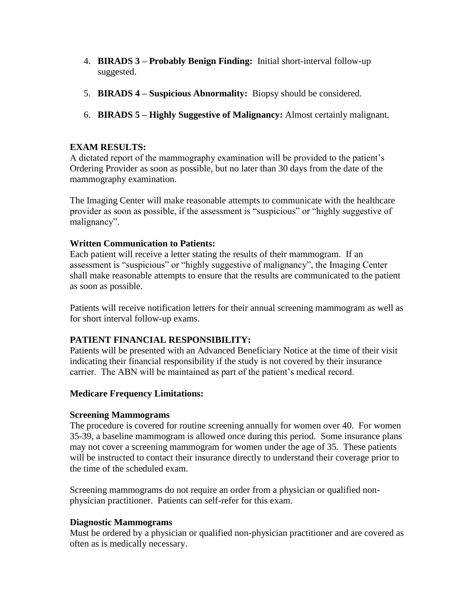- 4. **BIRADS 3 – Probably Benign Finding:** Initial short-interval follow-up suggested.
- 5. **BIRADS 4 – Suspicious Abnormality:** Biopsy should be considered.
- 6. **BIRADS 5 – Highly Suggestive of Malignancy:** Almost certainly malignant.

## **EXAM RESULTS:**

A dictated report of the mammography examination will be provided to the patient's Ordering Provider as soon as possible, but no later than 30 days from the date of the mammography examination.

The Imaging Center will make reasonable attempts to communicate with the healthcare provider as soon as possible, if the assessment is "suspicious" or "highly suggestive of malignancy".

## **Written Communication to Patients:**

Each patient will receive a letter stating the results of their mammogram. If an assessment is "suspicious" or "highly suggestive of malignancy", the Imaging Center shall make reasonable attempts to ensure that the results are communicated to the patient as soon as possible.

Patients will receive notification letters for their annual screening mammogram as well as for short interval follow-up exams.

# **PATIENT FINANCIAL RESPONSIBILITY:**

Patients will be presented with an Advanced Beneficiary Notice at the time of their visit indicating their financial responsibility if the study is not covered by their insurance carrier. The ABN will be maintained as part of the patient's medical record.

## **Medicare Frequency Limitations:**

## **Screening Mammograms**

The procedure is covered for routine screening annually for women over 40. For women 35-39, a baseline mammogram is allowed once during this period. Some insurance plans may not cover a screening mammogram for women under the age of 35. These patients will be instructed to contact their insurance directly to understand their coverage prior to the time of the scheduled exam.

Screening mammograms do not require an order from a physician or qualified nonphysician practitioner. Patients can self-refer for this exam.

## **Diagnostic Mammograms**

Must be ordered by a physician or qualified non-physician practitioner and are covered as often as is medically necessary.